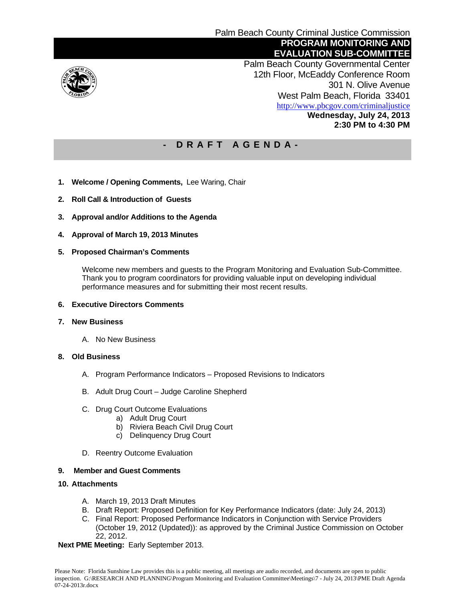

 Palm Beach County Governmental Center 12th Floor, McEaddy Conference Room 301 N. Olive Avenue West Palm Beach, Florida 33401 http://www.pbcgov.com/criminaljustice **Wednesday, July 24, 2013 2:30 PM to 4:30 PM** 

### **- D R A F T A G E N D A -**

- **1. Welcome / Opening Comments,** Lee Waring, Chair
- **2. Roll Call & Introduction of Guests**
- **3. Approval and/or Additions to the Agenda**
- **4. Approval of March 19, 2013 Minutes**
- **5. Proposed Chairman's Comments**

Welcome new members and guests to the Program Monitoring and Evaluation Sub-Committee. Thank you to program coordinators for providing valuable input on developing individual performance measures and for submitting their most recent results.

### **6. Executive Directors Comments**

#### **7. New Business**

A. No New Business

#### **8. Old Business**

- A. Program Performance Indicators Proposed Revisions to Indicators
- B. Adult Drug Court Judge Caroline Shepherd
- C. Drug Court Outcome Evaluations
	- a) Adult Drug Court
	- b) Riviera Beach Civil Drug Court
	- c) Delinquency Drug Court
- D. Reentry Outcome Evaluation

#### **9. Member and Guest Comments**

#### **10. Attachments**

- A. March 19, 2013 Draft Minutes
- B. Draft Report: Proposed Definition for Key Performance Indicators (date: July 24, 2013)
- C. Final Report: Proposed Performance Indicators in Conjunction with Service Providers (October 19, 2012 (Updated)): as approved by the Criminal Justice Commission on October 22, 2012.

#### **Next PME Meeting:** Early September 2013.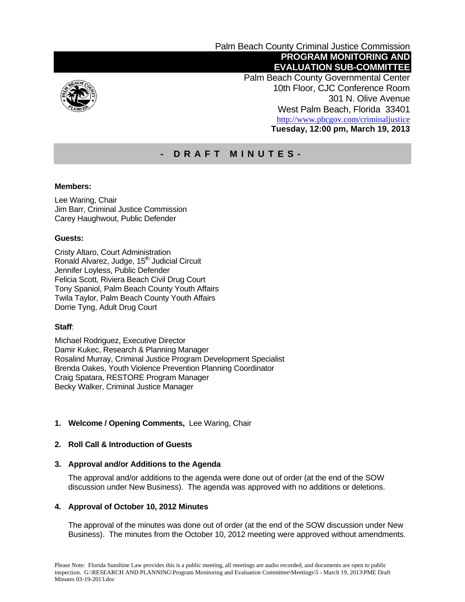

Palm Beach County Criminal Justice Commission  **PROGRAM MONITORING AND EVALUATION SUB-COMMITTEE** 

 Palm Beach County Governmental Center 10th Floor, CJC Conference Room 301 N. Olive Avenue West Palm Beach, Florida 33401 http://www.pbcgov.com/criminaljustice **Tuesday, 12:00 pm, March 19, 2013** 

## **- DRAFT MINUTES-**

### **Members:**

Lee Waring, Chair Jim Barr, Criminal Justice Commission Carey Haughwout, Public Defender

### **Guests:**

Cristy Altaro, Court Administration Ronald Alvarez, Judge, 15<sup>th</sup> Judicial Circuit Jennifer Loyless, Public Defender Felicia Scott, Riviera Beach Civil Drug Court Tony Spaniol, Palm Beach County Youth Affairs Twila Taylor, Palm Beach County Youth Affairs Dorrie Tyng, Adult Drug Court

### **Staff**:

Michael Rodriguez, Executive Director Damir Kukec, Research & Planning Manager Rosalind Murray, Criminal Justice Program Development Specialist Brenda Oakes, Youth Violence Prevention Planning Coordinator Craig Spatara, RESTORE Program Manager Becky Walker, Criminal Justice Manager

### **1. Welcome / Opening Comments,** Lee Waring, Chair

#### **2. Roll Call & Introduction of Guests**

#### **3. Approval and/or Additions to the Agenda**

The approval and/or additions to the agenda were done out of order (at the end of the SOW discussion under New Business). The agenda was approved with no additions or deletions.

#### **4. Approval of October 10, 2012 Minutes**

The approval of the minutes was done out of order (at the end of the SOW discussion under New Business). The minutes from the October 10, 2012 meeting were approved without amendments.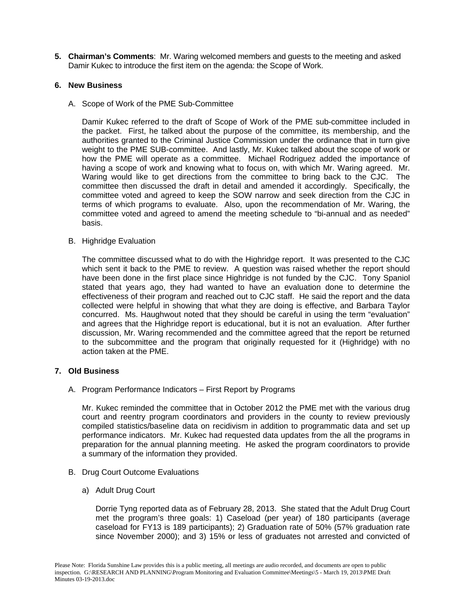**5. Chairman's Comments**: Mr. Waring welcomed members and guests to the meeting and asked Damir Kukec to introduce the first item on the agenda: the Scope of Work.

### **6. New Business**

A. Scope of Work of the PME Sub-Committee

Damir Kukec referred to the draft of Scope of Work of the PME sub-committee included in the packet. First, he talked about the purpose of the committee, its membership, and the authorities granted to the Criminal Justice Commission under the ordinance that in turn give weight to the PME SUB-committee. And lastly, Mr. Kukec talked about the scope of work or how the PME will operate as a committee. Michael Rodriguez added the importance of having a scope of work and knowing what to focus on, with which Mr. Waring agreed. Mr. Waring would like to get directions from the committee to bring back to the CJC. The committee then discussed the draft in detail and amended it accordingly. Specifically, the committee voted and agreed to keep the SOW narrow and seek direction from the CJC in terms of which programs to evaluate. Also, upon the recommendation of Mr. Waring, the committee voted and agreed to amend the meeting schedule to "bi-annual and as needed" basis.

B. Highridge Evaluation

The committee discussed what to do with the Highridge report. It was presented to the CJC which sent it back to the PME to review. A question was raised whether the report should have been done in the first place since Highridge is not funded by the CJC. Tony Spaniol stated that years ago, they had wanted to have an evaluation done to determine the effectiveness of their program and reached out to CJC staff. He said the report and the data collected were helpful in showing that what they are doing is effective, and Barbara Taylor concurred. Ms. Haughwout noted that they should be careful in using the term "evaluation" and agrees that the Highridge report is educational, but it is not an evaluation. After further discussion, Mr. Waring recommended and the committee agreed that the report be returned to the subcommittee and the program that originally requested for it (Highridge) with no action taken at the PME.

#### **7. Old Business**

A. Program Performance Indicators – First Report by Programs

Mr. Kukec reminded the committee that in October 2012 the PME met with the various drug court and reentry program coordinators and providers in the county to review previously compiled statistics/baseline data on recidivism in addition to programmatic data and set up performance indicators. Mr. Kukec had requested data updates from the all the programs in preparation for the annual planning meeting. He asked the program coordinators to provide a summary of the information they provided.

- B. Drug Court Outcome Evaluations
	- a) Adult Drug Court

Dorrie Tyng reported data as of February 28, 2013. She stated that the Adult Drug Court met the program's three goals: 1) Caseload (per year) of 180 participants (average caseload for FY13 is 189 participants); 2) Graduation rate of 50% (57% graduation rate since November 2000); and 3) 15% or less of graduates not arrested and convicted of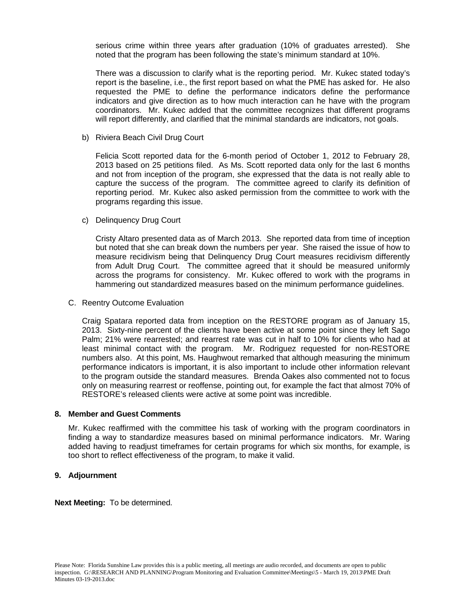serious crime within three years after graduation (10% of graduates arrested). She noted that the program has been following the state's minimum standard at 10%.

There was a discussion to clarify what is the reporting period. Mr. Kukec stated today's report is the baseline, i.e., the first report based on what the PME has asked for. He also requested the PME to define the performance indicators define the performance indicators and give direction as to how much interaction can he have with the program coordinators. Mr. Kukec added that the committee recognizes that different programs will report differently, and clarified that the minimal standards are indicators, not goals.

b) Riviera Beach Civil Drug Court

Felicia Scott reported data for the 6-month period of October 1, 2012 to February 28, 2013 based on 25 petitions filed. As Ms. Scott reported data only for the last 6 months and not from inception of the program, she expressed that the data is not really able to capture the success of the program. The committee agreed to clarify its definition of reporting period. Mr. Kukec also asked permission from the committee to work with the programs regarding this issue.

c) Delinquency Drug Court

Cristy Altaro presented data as of March 2013. She reported data from time of inception but noted that she can break down the numbers per year. She raised the issue of how to measure recidivism being that Delinquency Drug Court measures recidivism differently from Adult Drug Court. The committee agreed that it should be measured uniformly across the programs for consistency. Mr. Kukec offered to work with the programs in hammering out standardized measures based on the minimum performance guidelines.

C. Reentry Outcome Evaluation

Craig Spatara reported data from inception on the RESTORE program as of January 15, 2013. Sixty-nine percent of the clients have been active at some point since they left Sago Palm; 21% were rearrested; and rearrest rate was cut in half to 10% for clients who had at least minimal contact with the program. Mr. Rodriguez requested for non-RESTORE numbers also. At this point, Ms. Haughwout remarked that although measuring the minimum performance indicators is important, it is also important to include other information relevant to the program outside the standard measures. Brenda Oakes also commented not to focus only on measuring rearrest or reoffense, pointing out, for example the fact that almost 70% of RESTORE's released clients were active at some point was incredible.

#### **8. Member and Guest Comments**

Mr. Kukec reaffirmed with the committee his task of working with the program coordinators in finding a way to standardize measures based on minimal performance indicators. Mr. Waring added having to readjust timeframes for certain programs for which six months, for example, is too short to reflect effectiveness of the program, to make it valid.

### **9. Adjournment**

**Next Meeting:** To be determined.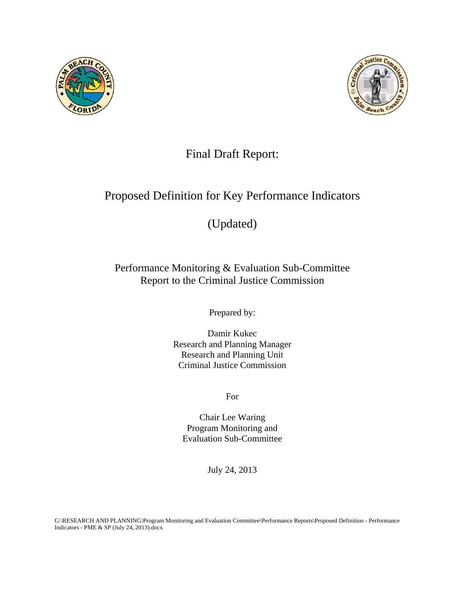



# Final Draft Report:

# Proposed Definition for Key Performance Indicators

# (Updated)

# Performance Monitoring & Evaluation Sub-Committee Report to the Criminal Justice Commission

Prepared by:

Damir Kukec Research and Planning Manager Research and Planning Unit Criminal Justice Commission

For

Chair Lee Waring Program Monitoring and Evaluation Sub-Committee

July 24, 2013

G:\RESEARCH AND PLANNING\Program Monitoring and Evaluation Committee\Performance Reports\Proposed Definition - Performance Indicators - PME & SP (July 24, 2013).docx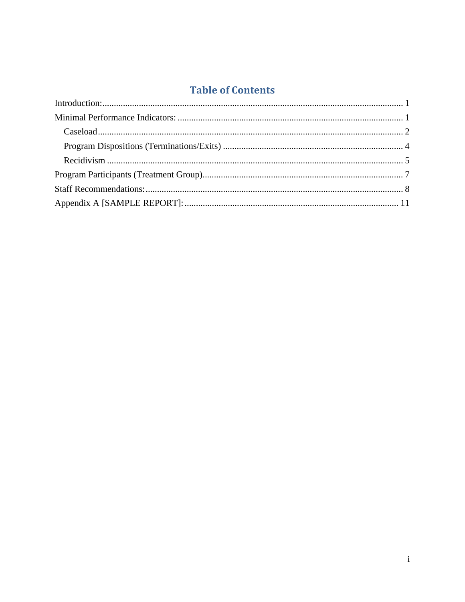# **Table of Contents**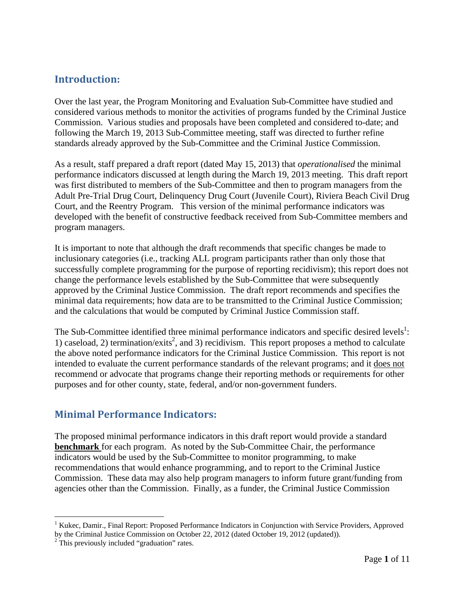### **Introduction:**

Over the last year, the Program Monitoring and Evaluation Sub-Committee have studied and considered various methods to monitor the activities of programs funded by the Criminal Justice Commission. Various studies and proposals have been completed and considered to-date; and following the March 19, 2013 Sub-Committee meeting, staff was directed to further refine standards already approved by the Sub-Committee and the Criminal Justice Commission.

As a result, staff prepared a draft report (dated May 15, 2013) that *operationalised* the minimal performance indicators discussed at length during the March 19, 2013 meeting. This draft report was first distributed to members of the Sub-Committee and then to program managers from the Adult Pre-Trial Drug Court, Delinquency Drug Court (Juvenile Court), Riviera Beach Civil Drug Court, and the Reentry Program. This version of the minimal performance indicators was developed with the benefit of constructive feedback received from Sub-Committee members and program managers.

It is important to note that although the draft recommends that specific changes be made to inclusionary categories (i.e., tracking ALL program participants rather than only those that successfully complete programming for the purpose of reporting recidivism); this report does not change the performance levels established by the Sub-Committee that were subsequently approved by the Criminal Justice Commission. The draft report recommends and specifies the minimal data requirements; how data are to be transmitted to the Criminal Justice Commission; and the calculations that would be computed by Criminal Justice Commission staff.

The Sub-Committee identified three minimal performance indicators and specific desired levels<sup>1</sup>: 1) caseload, 2) termination/exits<sup>2</sup>, and 3) recidivism. This report proposes a method to calculate the above noted performance indicators for the Criminal Justice Commission. This report is not intended to evaluate the current performance standards of the relevant programs; and it does not recommend or advocate that programs change their reporting methods or requirements for other purposes and for other county, state, federal, and/or non-government funders.

### **Minimal Performance Indicators:**

The proposed minimal performance indicators in this draft report would provide a standard **benchmark** for each program. As noted by the Sub-Committee Chair, the performance indicators would be used by the Sub-Committee to monitor programming, to make recommendations that would enhance programming, and to report to the Criminal Justice Commission. These data may also help program managers to inform future grant/funding from agencies other than the Commission. Finally, as a funder, the Criminal Justice Commission

1

<sup>&</sup>lt;sup>1</sup> Kukec, Damir., Final Report: Proposed Performance Indicators in Conjunction with Service Providers, Approved by the Criminal Justice Commission on October 22, 2012 (dated October 19, 2012 (updated)).

<sup>&</sup>lt;sup>2</sup> This previously included "graduation" rates.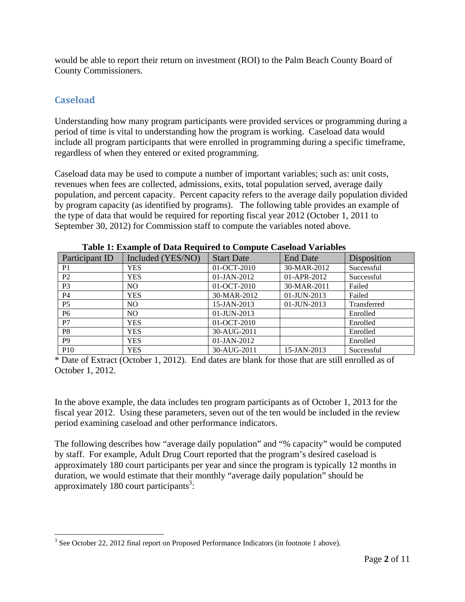would be able to report their return on investment (ROI) to the Palm Beach County Board of County Commissioners.

### **Caseload**

Understanding how many program participants were provided services or programming during a period of time is vital to understanding how the program is working. Caseload data would include all program participants that were enrolled in programming during a specific timeframe, regardless of when they entered or exited programming.

Caseload data may be used to compute a number of important variables; such as: unit costs, revenues when fees are collected, admissions, exits, total population served, average daily population, and percent capacity. Percent capacity refers to the average daily population divided by program capacity (as identified by programs). The following table provides an example of the type of data that would be required for reporting fiscal year 2012 (October 1, 2011 to September 30, 2012) for Commission staff to compute the variables noted above.

| Participant ID | Included (YES/NO) | <b>Start Date</b> | <b>End Date</b> | Disposition |
|----------------|-------------------|-------------------|-----------------|-------------|
| P <sub>1</sub> | <b>YES</b>        | 01-OCT-2010       | 30-MAR-2012     | Successful  |
| P <sub>2</sub> | <b>YES</b>        | 01-JAN-2012       | 01-APR-2012     | Successful  |
| P <sub>3</sub> | NO.               | $01-OCT-2010$     | 30-MAR-2011     | Failed      |
| <b>P4</b>      | <b>YES</b>        | 30-MAR-2012       | $01$ -JUN-2013  | Failed      |
| P <sub>5</sub> | NO.               | 15-JAN-2013       | 01-JUN-2013     | Transferred |
| P <sub>6</sub> | NO.               | 01-JUN-2013       |                 | Enrolled    |
| P7             | <b>YES</b>        | 01-OCT-2010       |                 | Enrolled    |
| P <sub>8</sub> | <b>YES</b>        | 30-AUG-2011       |                 | Enrolled    |
| P <sub>9</sub> | <b>YES</b>        | 01-JAN-2012       |                 | Enrolled    |
| <b>P10</b>     | <b>YES</b>        | 30-AUG-2011       | 15-JAN-2013     | Successful  |

**Table 1: Example of Data Required to Compute Caseload Variables** 

\* Date of Extract (October 1, 2012). End dates are blank for those that are still enrolled as of October 1, 2012.

In the above example, the data includes ten program participants as of October 1, 2013 for the fiscal year 2012. Using these parameters, seven out of the ten would be included in the review period examining caseload and other performance indicators.

The following describes how "average daily population" and "% capacity" would be computed by staff. For example, Adult Drug Court reported that the program's desired caseload is approximately 180 court participants per year and since the program is typically 12 months in duration, we would estimate that their monthly "average daily population" should be approximately 180 court participants<sup>3</sup>:

 $\overline{a}$  $3$  See October 22, 2012 final report on Proposed Performance Indicators (in footnote 1 above).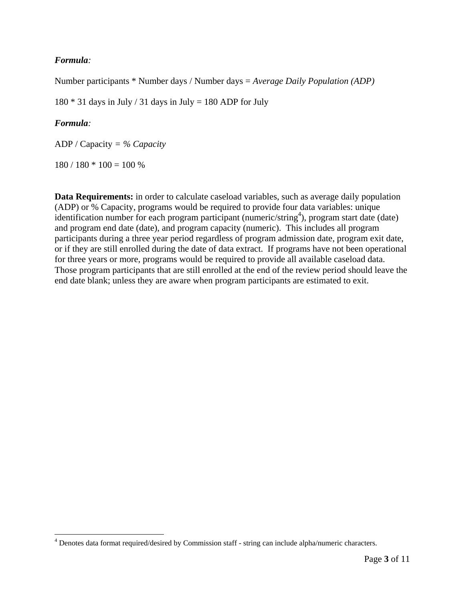### *Formula:*

Number participants \* Number days / Number days = *Average Daily Population (ADP)*

 $180 * 31$  days in July / 31 days in July = 180 ADP for July

### *Formula:*

 $\overline{a}$ 

ADP / Capacity *= % Capacity* 

 $180 / 180 * 100 = 100 %$ 

**Data Requirements:** in order to calculate caseload variables, such as average daily population (ADP) or % Capacity, programs would be required to provide four data variables: unique identification number for each program participant (numeric/string<sup>4</sup>), program start date (date) and program end date (date), and program capacity (numeric). This includes all program participants during a three year period regardless of program admission date, program exit date, or if they are still enrolled during the date of data extract. If programs have not been operational for three years or more, programs would be required to provide all available caseload data. Those program participants that are still enrolled at the end of the review period should leave the end date blank; unless they are aware when program participants are estimated to exit.

<sup>&</sup>lt;sup>4</sup> Denotes data format required/desired by Commission staff - string can include alpha/numeric characters.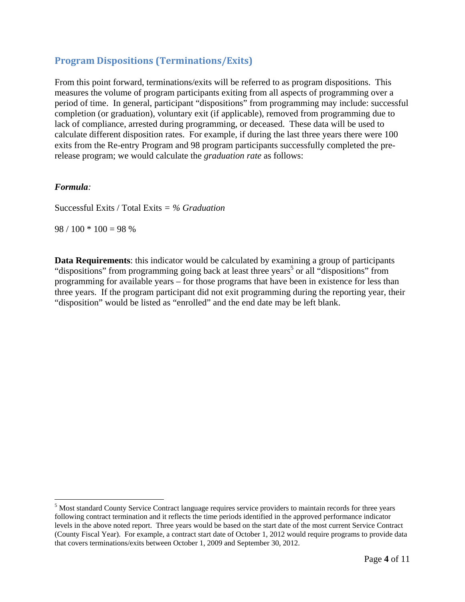### **Program Dispositions (Terminations/Exits)**

From this point forward, terminations/exits will be referred to as program dispositions. This measures the volume of program participants exiting from all aspects of programming over a period of time. In general, participant "dispositions" from programming may include: successful completion (or graduation), voluntary exit (if applicable), removed from programming due to lack of compliance, arrested during programming, or deceased. These data will be used to calculate different disposition rates. For example, if during the last three years there were 100 exits from the Re-entry Program and 98 program participants successfully completed the prerelease program; we would calculate the *graduation rate* as follows:

### *Formula:*

 $\overline{a}$ 

Successful Exits / Total Exits *= % Graduation* 

 $98 / 100 * 100 = 98 %$ 

**Data Requirements**: this indicator would be calculated by examining a group of participants "dispositions" from programming going back at least three years<sup>5</sup> or all "dispositions" from programming for available years – for those programs that have been in existence for less than three years. If the program participant did not exit programming during the reporting year, their "disposition" would be listed as "enrolled" and the end date may be left blank.

<sup>&</sup>lt;sup>5</sup> Most standard County Service Contract language requires service providers to maintain records for three years following contract termination and it reflects the time periods identified in the approved performance indicator levels in the above noted report. Three years would be based on the start date of the most current Service Contract (County Fiscal Year). For example, a contract start date of October 1, 2012 would require programs to provide data that covers terminations/exits between October 1, 2009 and September 30, 2012.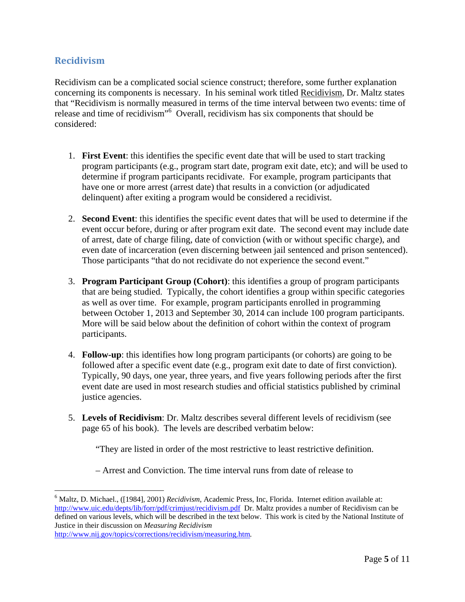### **Recidivism**

Recidivism can be a complicated social science construct; therefore, some further explanation concerning its components is necessary. In his seminal work titled Recidivism, Dr. Maltz states that "Recidivism is normally measured in terms of the time interval between two events: time of release and time of recidivism"<sup>6</sup> Overall, recidivism has six components that should be considered:

- 1. **First Event**: this identifies the specific event date that will be used to start tracking program participants (e.g., program start date, program exit date, etc); and will be used to determine if program participants recidivate. For example, program participants that have one or more arrest (arrest date) that results in a conviction (or adjudicated delinquent) after exiting a program would be considered a recidivist.
- 2. **Second Event**: this identifies the specific event dates that will be used to determine if the event occur before, during or after program exit date. The second event may include date of arrest, date of charge filing, date of conviction (with or without specific charge), and even date of incarceration (even discerning between jail sentenced and prison sentenced). Those participants "that do not recidivate do not experience the second event."
- 3. **Program Participant Group (Cohort)**: this identifies a group of program participants that are being studied. Typically, the cohort identifies a group within specific categories as well as over time. For example, program participants enrolled in programming between October 1, 2013 and September 30, 2014 can include 100 program participants. More will be said below about the definition of cohort within the context of program participants.
- 4. **Follow-up**: this identifies how long program participants (or cohorts) are going to be followed after a specific event date (e.g., program exit date to date of first conviction). Typically, 90 days, one year, three years, and five years following periods after the first event date are used in most research studies and official statistics published by criminal justice agencies.
- 5. **Levels of Recidivism**: Dr. Maltz describes several different levels of recidivism (see page 65 of his book). The levels are described verbatim below:

"They are listed in order of the most restrictive to least restrictive definition.

– Arrest and Conviction. The time interval runs from date of release to

http://www.nij.gov/topics/corrections/recidivism/measuring.htm*.* 

 $\overline{a}$ 

<sup>6</sup> Maltz, D. Michael., ([1984], 2001) *Recidivism*, Academic Press, Inc, Florida. Internet edition available at: http://www.uic.edu/depts/lib/forr/pdf/crimjust/recidivism.pdf Dr. Maltz provides a number of Recidivism can be defined on various levels, which will be described in the text below. This work is cited by the National Institute of Justice in their discussion on *Measuring Recidivism*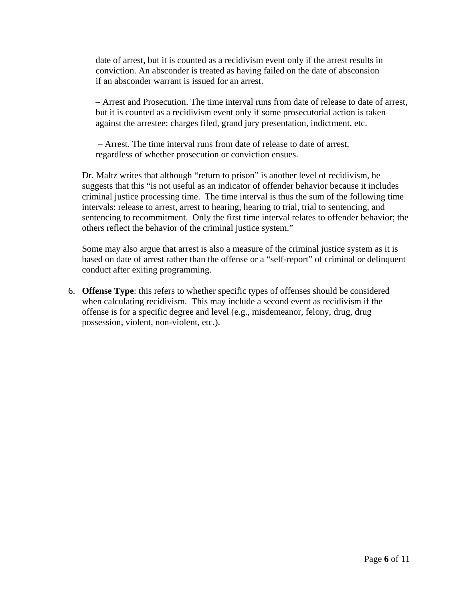date of arrest, but it is counted as a recidivism event only if the arrest results in conviction. An absconder is treated as having failed on the date of absconsion if an absconder warrant is issued for an arrest.

– Arrest and Prosecution. The time interval runs from date of release to date of arrest, but it is counted as a recidivism event only if some prosecutorial action is taken against the arrestee: charges filed, grand jury presentation, indictment, etc.

 – Arrest. The time interval runs from date of release to date of arrest, regardless of whether prosecution or conviction ensues.

Dr. Maltz writes that although "return to prison" is another level of recidivism, he suggests that this "is not useful as an indicator of offender behavior because it includes criminal justice processing time. The time interval is thus the sum of the following time intervals: release to arrest, arrest to hearing, hearing to trial, trial to sentencing, and sentencing to recommitment. Only the first time interval relates to offender behavior; the others reflect the behavior of the criminal justice system."

Some may also argue that arrest is also a measure of the criminal justice system as it is based on date of arrest rather than the offense or a "self-report" of criminal or delinquent conduct after exiting programming.

6. **Offense Type**: this refers to whether specific types of offenses should be considered when calculating recidivism. This may include a second event as recidivism if the offense is for a specific degree and level (e.g., misdemeanor, felony, drug, drug possession, violent, non-violent, etc.).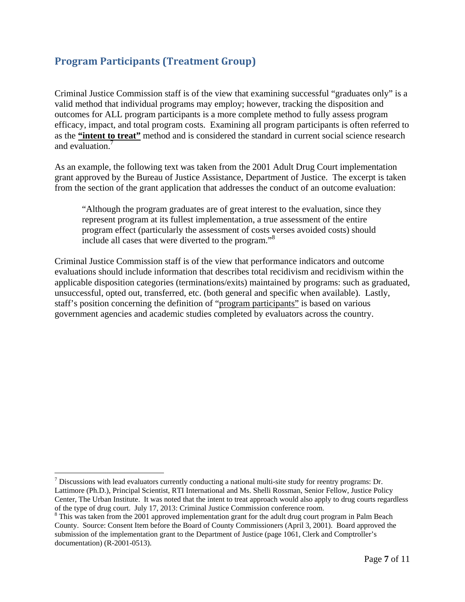# **Program Participants (Treatment Group)**

Criminal Justice Commission staff is of the view that examining successful "graduates only" is a valid method that individual programs may employ; however, tracking the disposition and outcomes for ALL program participants is a more complete method to fully assess program efficacy, impact, and total program costs. Examining all program participants is often referred to as the **"intent to treat"** method and is considered the standard in current social science research and evaluation.<sup>7</sup>

As an example, the following text was taken from the 2001 Adult Drug Court implementation grant approved by the Bureau of Justice Assistance, Department of Justice. The excerpt is taken from the section of the grant application that addresses the conduct of an outcome evaluation:

"Although the program graduates are of great interest to the evaluation, since they represent program at its fullest implementation, a true assessment of the entire program effect (particularly the assessment of costs verses avoided costs) should include all cases that were diverted to the program."<sup>8</sup>

Criminal Justice Commission staff is of the view that performance indicators and outcome evaluations should include information that describes total recidivism and recidivism within the applicable disposition categories (terminations/exits) maintained by programs: such as graduated, unsuccessful, opted out, transferred, etc. (both general and specific when available). Lastly, staff's position concerning the definition of "program participants" is based on various government agencies and academic studies completed by evaluators across the country.

 $\overline{a}$ 

 $<sup>7</sup>$  Discussions with lead evaluators currently conducting a national multi-site study for reentry programs: Dr.</sup> Lattimore (Ph.D.), Principal Scientist, RTI International and Ms. Shelli Rossman, Senior Fellow, Justice Policy Center, The Urban Institute. It was noted that the intent to treat approach would also apply to drug courts regardless of the type of drug court. July 17, 2013: Criminal Justice Commission conference room.

<sup>&</sup>lt;sup>8</sup> This was taken from the 2001 approved implementation grant for the adult drug court program in Palm Beach County. Source: Consent Item before the Board of County Commissioners (April 3, 2001). Board approved the submission of the implementation grant to the Department of Justice (page 1061, Clerk and Comptroller's documentation) (R-2001-0513).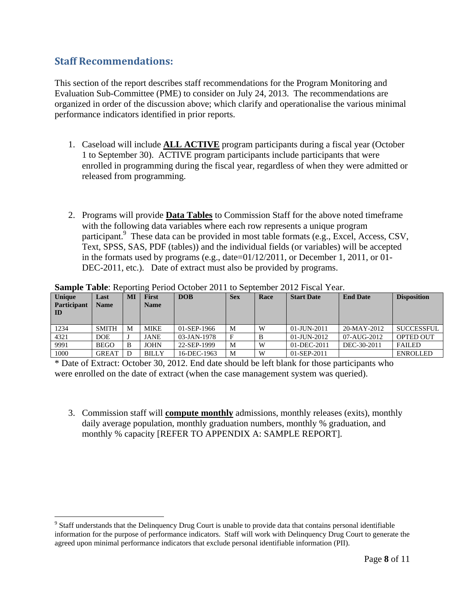### **Staff Recommendations:**

1

This section of the report describes staff recommendations for the Program Monitoring and Evaluation Sub-Committee (PME) to consider on July 24, 2013. The recommendations are organized in order of the discussion above; which clarify and operationalise the various minimal performance indicators identified in prior reports.

- 1. Caseload will include **ALL ACTIVE** program participants during a fiscal year (October 1 to September 30). ACTIVE program participants include participants that were enrolled in programming during the fiscal year, regardless of when they were admitted or released from programming.
- 2. Programs will provide **Data Tables** to Commission Staff for the above noted timeframe with the following data variables where each row represents a unique program participant.<sup>9</sup> These data can be provided in most table formats (e.g., Excel, Access, CSV, Text, SPSS, SAS, PDF (tables)) and the individual fields (or variables) will be accepted in the formats used by programs (e.g., date= $01/12/2011$ , or December 1, 2011, or 01-DEC-2011, etc.). Date of extract must also be provided by programs.

| Unique<br><b>Participant</b><br>ID | Last<br><b>Name</b> | M | <b>First</b><br><b>Name</b> | <b>DOB</b>     | <b>Sex</b>   | Race | <b>Start Date</b> | <b>End Date</b> | <b>Disposition</b> |
|------------------------------------|---------------------|---|-----------------------------|----------------|--------------|------|-------------------|-----------------|--------------------|
| 1234                               | <b>SMITH</b>        | M | <b>MIKE</b>                 | 01-SEP-1966    | M            | W    | 01-JUN-2011       | 20-MAY-2012     | <b>SUCCESSFUL</b>  |
| 4321                               | DOE.                |   | <b>JANE</b>                 | $03$ -JAN-1978 | $\mathbf{F}$ |      | $01$ -JUN-2012    | 07-AUG-2012     | <b>OPTED OUT</b>   |
| 9991                               | <b>BEGO</b>         | B | <b>JOHN</b>                 | 22-SEP-1999    | M            | W    | 01-DEC-2011       | DEC-30-2011     | <b>FAILED</b>      |
| 1000                               | <b>GREAT</b>        |   | <b>BILLY</b>                | 16-DEC-1963    | M            | W    | 01-SEP-2011       |                 | <b>ENROLLED</b>    |

**Sample Table**: Reporting Period October 2011 to September 2012 Fiscal Year.

\* Date of Extract: October 30, 2012. End date should be left blank for those participants who were enrolled on the date of extract (when the case management system was queried).

3. Commission staff will **compute monthly** admissions, monthly releases (exits), monthly daily average population, monthly graduation numbers, monthly % graduation, and monthly % capacity [REFER TO APPENDIX A: SAMPLE REPORT].

<sup>&</sup>lt;sup>9</sup> Staff understands that the Delinquency Drug Court is unable to provide data that contains personal identifiable information for the purpose of performance indicators. Staff will work with Delinquency Drug Court to generate the agreed upon minimal performance indicators that exclude personal identifiable information (PII).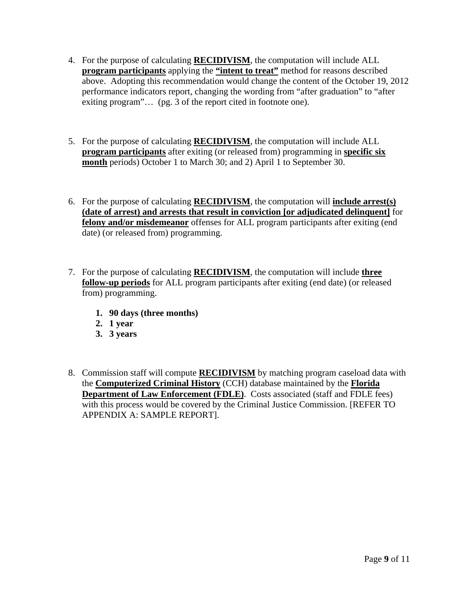- 4. For the purpose of calculating **RECIDIVISM**, the computation will include ALL **program participants** applying the **"intent to treat"** method for reasons described above. Adopting this recommendation would change the content of the October 19, 2012 performance indicators report, changing the wording from "after graduation" to "after exiting program"… (pg. 3 of the report cited in footnote one).
- 5. For the purpose of calculating **RECIDIVISM**, the computation will include ALL **program participants** after exiting (or released from) programming in **specific six month** periods) October 1 to March 30; and 2) April 1 to September 30.
- 6. For the purpose of calculating **RECIDIVISM**, the computation will **include arrest(s) (date of arrest) and arrests that result in conviction [or adjudicated delinquent]** for **felony and/or misdemeanor** offenses for ALL program participants after exiting (end date) (or released from) programming.
- 7. For the purpose of calculating **RECIDIVISM**, the computation will include **three follow-up periods** for ALL program participants after exiting (end date) (or released from) programming.
	- **1. 90 days (three months)**
	- **2. 1 year**
	- **3. 3 years**
- 8. Commission staff will compute **RECIDIVISM** by matching program caseload data with the **Computerized Criminal History** (CCH) database maintained by the **Florida Department of Law Enforcement (FDLE)**. Costs associated (staff and FDLE fees) with this process would be covered by the Criminal Justice Commission. [REFER TO APPENDIX A: SAMPLE REPORT].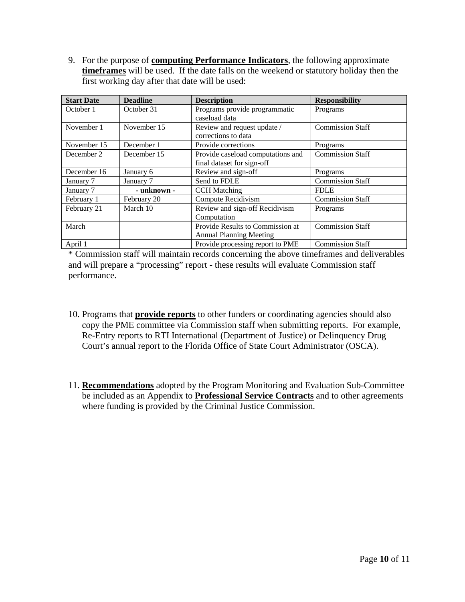9. For the purpose of **computing Performance Indicators**, the following approximate **timeframes** will be used. If the date falls on the weekend or statutory holiday then the first working day after that date will be used:

| <b>Start Date</b> | <b>Deadline</b> | <b>Description</b>                | <b>Responsibility</b>   |
|-------------------|-----------------|-----------------------------------|-------------------------|
| October 1         | October 31      | Programs provide programmatic     | Programs                |
|                   |                 | caseload data                     |                         |
| November 1        | November 15     | Review and request update /       | <b>Commission Staff</b> |
|                   |                 | corrections to data               |                         |
| November 15       | December 1      | Provide corrections               | Programs                |
| December 2        | December 15     | Provide caseload computations and | <b>Commission Staff</b> |
|                   |                 | final dataset for sign-off        |                         |
| December 16       | January 6       | Review and sign-off               | Programs                |
| January 7         | January 7       | Send to FDLE                      | <b>Commission Staff</b> |
| January 7         | - unknown -     | <b>CCH</b> Matching               | <b>FDLE</b>             |
| February 1        | February 20     | Compute Recidivism                | <b>Commission Staff</b> |
| February 21       | March 10        | Review and sign-off Recidivism    | Programs                |
|                   |                 | Computation                       |                         |
| March             |                 | Provide Results to Commission at  | <b>Commission Staff</b> |
|                   |                 | <b>Annual Planning Meeting</b>    |                         |
| April 1           |                 | Provide processing report to PME  | <b>Commission Staff</b> |

\* Commission staff will maintain records concerning the above timeframes and deliverables and will prepare a "processing" report - these results will evaluate Commission staff performance.

- 10. Programs that **provide reports** to other funders or coordinating agencies should also copy the PME committee via Commission staff when submitting reports. For example, Re-Entry reports to RTI International (Department of Justice) or Delinquency Drug Court's annual report to the Florida Office of State Court Administrator (OSCA).
- 11. **Recommendations** adopted by the Program Monitoring and Evaluation Sub-Committee be included as an Appendix to **Professional Service Contracts** and to other agreements where funding is provided by the Criminal Justice Commission.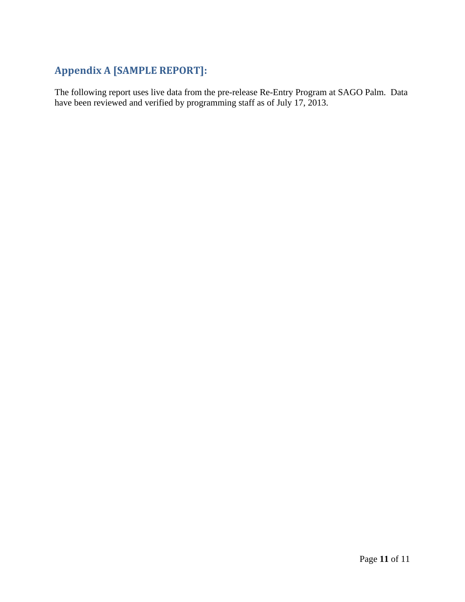# **Appendix A [SAMPLE REPORT]:**

The following report uses live data from the pre-release Re-Entry Program at SAGO Palm. Data have been reviewed and verified by programming staff as of July 17, 2013.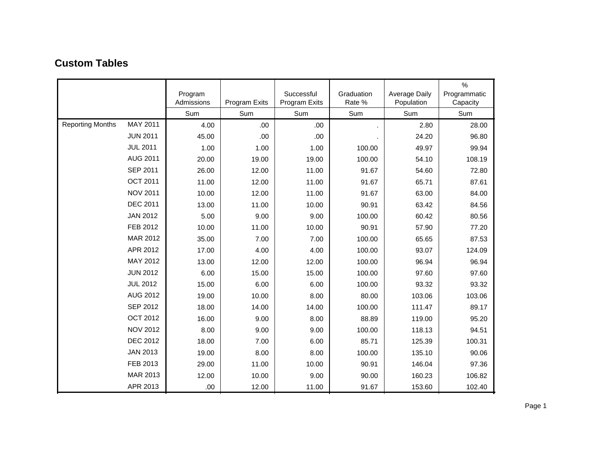|                         |                 | Program<br>Admissions | Program Exits | Successful<br>Program Exits | Graduation<br>Rate % | <b>Average Daily</b><br>Population | $\%$<br>Programmatic<br>Capacity |
|-------------------------|-----------------|-----------------------|---------------|-----------------------------|----------------------|------------------------------------|----------------------------------|
|                         |                 | Sum                   | Sum           | Sum                         | Sum                  | Sum                                | Sum                              |
| <b>Reporting Months</b> | MAY 2011        | 4.00                  | .00.          | .00.                        |                      | 2.80                               | 28.00                            |
|                         | <b>JUN 2011</b> | 45.00                 | .00.          | .00.                        |                      | 24.20                              | 96.80                            |
|                         | <b>JUL 2011</b> | 1.00                  | 1.00          | 1.00                        | 100.00               | 49.97                              | 99.94                            |
|                         | AUG 2011        | 20.00                 | 19.00         | 19.00                       | 100.00               | 54.10                              | 108.19                           |
|                         | <b>SEP 2011</b> | 26.00                 | 12.00         | 11.00                       | 91.67                | 54.60                              | 72.80                            |
|                         | <b>OCT 2011</b> | 11.00                 | 12.00         | 11.00                       | 91.67                | 65.71                              | 87.61                            |
|                         | <b>NOV 2011</b> | 10.00                 | 12.00         | 11.00                       | 91.67                | 63.00                              | 84.00                            |
|                         | <b>DEC 2011</b> | 13.00                 | 11.00         | 10.00                       | 90.91                | 63.42                              | 84.56                            |
|                         | <b>JAN 2012</b> | 5.00                  | 9.00          | 9.00                        | 100.00               | 60.42                              | 80.56                            |
|                         | FEB 2012        | 10.00                 | 11.00         | 10.00                       | 90.91                | 57.90                              | 77.20                            |
|                         | MAR 2012        | 35.00                 | 7.00          | 7.00                        | 100.00               | 65.65                              | 87.53                            |
|                         | APR 2012        | 17.00                 | 4.00          | 4.00                        | 100.00               | 93.07                              | 124.09                           |
|                         | MAY 2012        | 13.00                 | 12.00         | 12.00                       | 100.00               | 96.94                              | 96.94                            |
|                         | <b>JUN 2012</b> | 6.00                  | 15.00         | 15.00                       | 100.00               | 97.60                              | 97.60                            |
|                         | <b>JUL 2012</b> | 15.00                 | 6.00          | 6.00                        | 100.00               | 93.32                              | 93.32                            |
|                         | <b>AUG 2012</b> | 19.00                 | 10.00         | 8.00                        | 80.00                | 103.06                             | 103.06                           |
|                         | <b>SEP 2012</b> | 18.00                 | 14.00         | 14.00                       | 100.00               | 111.47                             | 89.17                            |
|                         | <b>OCT 2012</b> | 16.00                 | 9.00          | 8.00                        | 88.89                | 119.00                             | 95.20                            |
|                         | <b>NOV 2012</b> | 8.00                  | 9.00          | 9.00                        | 100.00               | 118.13                             | 94.51                            |
|                         | <b>DEC 2012</b> | 18.00                 | 7.00          | 6.00                        | 85.71                | 125.39                             | 100.31                           |
|                         | <b>JAN 2013</b> | 19.00                 | 8.00          | 8.00                        | 100.00               | 135.10                             | 90.06                            |
|                         | FEB 2013        | 29.00                 | 11.00         | 10.00                       | 90.91                | 146.04                             | 97.36                            |
|                         | MAR 2013        | 12.00                 | 10.00         | 9.00                        | 90.00                | 160.23                             | 106.82                           |
|                         | APR 2013        | .00                   | 12.00         | 11.00                       | 91.67                | 153.60                             | 102.40                           |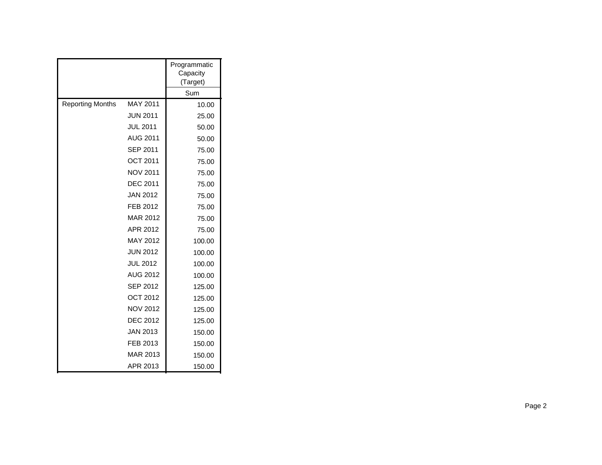|                         |                 | Programmatic<br>Capacity<br>(Target) |
|-------------------------|-----------------|--------------------------------------|
|                         |                 | Sum                                  |
| <b>Reporting Months</b> | MAY 2011        | 10.00                                |
|                         | <b>JUN 2011</b> | 25.00                                |
|                         | <b>JUL 2011</b> | 50.00                                |
|                         | <b>AUG 2011</b> | 50.00                                |
|                         | <b>SEP 2011</b> | 75.00                                |
|                         | <b>OCT 2011</b> | 75.00                                |
|                         | <b>NOV 2011</b> | 75.00                                |
|                         | <b>DEC 2011</b> | 75.00                                |
|                         | <b>JAN 2012</b> | 75.00                                |
|                         | FEB 2012        | 75.00                                |
|                         | MAR 2012        | 75.00                                |
|                         | APR 2012        | 75.00                                |
|                         | MAY 2012        | 100.00                               |
|                         | <b>JUN 2012</b> | 100.00                               |
|                         | <b>JUL 2012</b> | 100.00                               |
|                         | <b>AUG 2012</b> | 100.00                               |
|                         | <b>SEP 2012</b> | 125.00                               |
|                         | <b>OCT 2012</b> | 125.00                               |
|                         | <b>NOV 2012</b> | 125.00                               |
|                         | <b>DEC 2012</b> | 125.00                               |
|                         | <b>JAN 2013</b> | 150.00                               |
|                         | FEB 2013        | 150.00                               |
|                         | <b>MAR 2013</b> | 150.00                               |
|                         | APR 2013        | 150.00                               |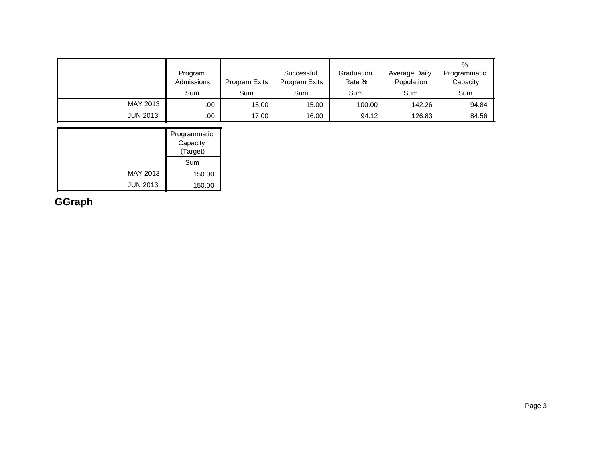|                 | Program<br>Admissions | Program Exits | Successful<br>Program Exits | Graduation<br>Rate % | Average Daily<br>Population | $\%$<br>Programmatic<br>Capacity |
|-----------------|-----------------------|---------------|-----------------------------|----------------------|-----------------------------|----------------------------------|
|                 | Sum                   | Sum           | Sum                         | Sum                  | Sum                         | Sum                              |
| MAY 2013        | .00                   | 15.00         | 15.00                       | 100.00               | 142.26                      | 94.84                            |
| <b>JUN 2013</b> | .00                   | 17.00         | 16.00                       | 94.12                | 126.83                      | 84.56                            |

|                 | Programmatic<br>Capacity<br>(Target) |
|-----------------|--------------------------------------|
|                 | Sum                                  |
| MAY 2013        | 150.00                               |
| <b>JUN 2013</b> | 150.00                               |

**GGraph**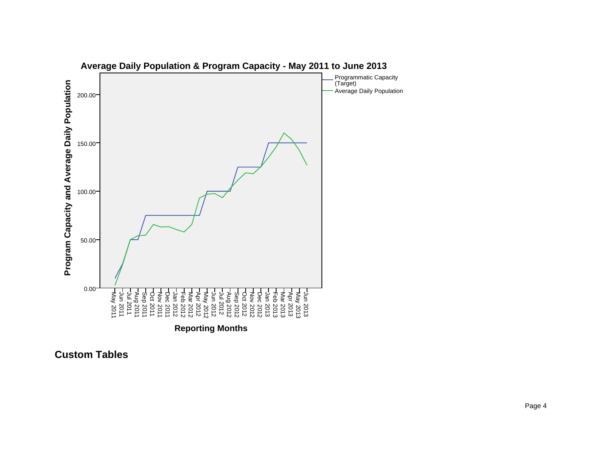

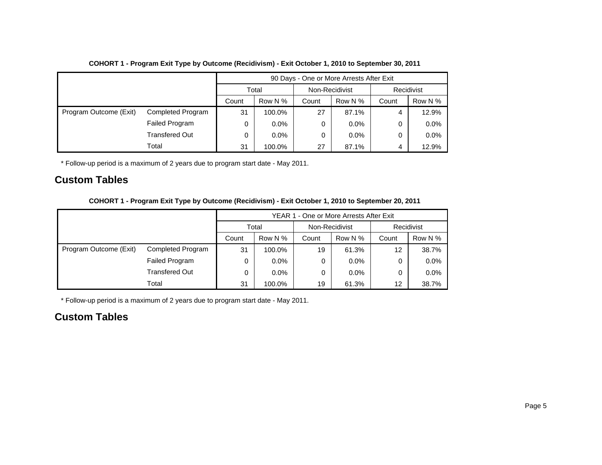|                        |                          | 90 Days - One or More Arrests After Exit |         |                |         |   |            |  |
|------------------------|--------------------------|------------------------------------------|---------|----------------|---------|---|------------|--|
|                        |                          |                                          | Total   | Non-Recidivist |         |   | Recidivist |  |
|                        |                          | Row N %<br>Row N %<br>Count<br>Count     |         | Count          | Row N % |   |            |  |
| Program Outcome (Exit) | <b>Completed Program</b> | 31                                       | 100.0%  | 27             | 87.1%   | 4 | 12.9%      |  |
|                        | Failed Program           | 0                                        | $0.0\%$ | 0              | $0.0\%$ | 0 | 0.0%       |  |
|                        | <b>Transfered Out</b>    | 0                                        | $0.0\%$ | 0              | $0.0\%$ | 0 | 0.0%       |  |
|                        | Total                    | 31                                       | 100.0%  | 27             | 87.1%   | 4 | 12.9%      |  |

### **COHORT 1 - Program Exit Type by Outcome (Recidivism) - Exit October 1, 2010 to September 30, 2011**

\* Follow-up period is a maximum of 2 years due to program start date - May 2011.

### **Custom Tables**

|  |  |  |  |  | COHORT 1 - Program Exit Type by Outcome (Recidivism) - Exit October 1, 2010 to September 20, 2011 |
|--|--|--|--|--|---------------------------------------------------------------------------------------------------|
|--|--|--|--|--|---------------------------------------------------------------------------------------------------|

|                        |                          |                           | YEAR 1 - One or More Arrests After Exit |         |                |                   |            |  |  |
|------------------------|--------------------------|---------------------------|-----------------------------------------|---------|----------------|-------------------|------------|--|--|
|                        |                          |                           | Total                                   |         | Non-Recidivist |                   | Recidivist |  |  |
|                        |                          | Row N %<br>Count<br>Count |                                         | Row N % | Count          | Row N %           |            |  |  |
| Program Outcome (Exit) | <b>Completed Program</b> | 31                        | 100.0%                                  | 19      | 61.3%          | 12                | 38.7%      |  |  |
|                        | Failed Program           | 0                         | $0.0\%$                                 | 0       | $0.0\%$        | 0                 | $0.0\%$    |  |  |
|                        | <b>Transfered Out</b>    | 0                         | $0.0\%$                                 | 0       | $0.0\%$        | 0                 | 0.0%       |  |  |
|                        | Total                    | 31                        | 100.0%                                  | 19      | 61.3%          | $12 \overline{ }$ | 38.7%      |  |  |

\* Follow-up period is a maximum of 2 years due to program start date - May 2011.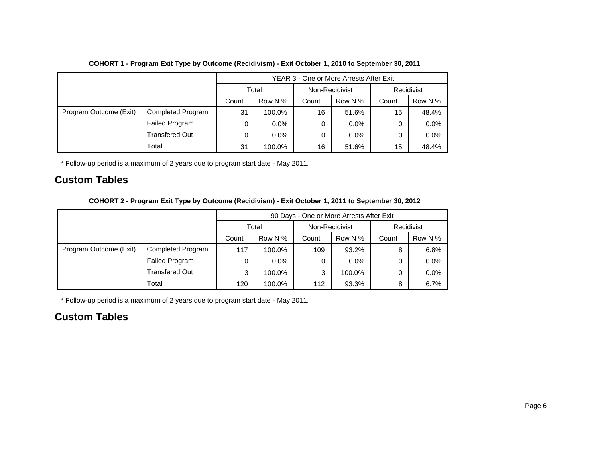|                        |                          |       |         |                | YEAR 3 - One or More Arrests After Exit |            |         |  |
|------------------------|--------------------------|-------|---------|----------------|-----------------------------------------|------------|---------|--|
|                        |                          | Total |         | Non-Recidivist |                                         | Recidivist |         |  |
|                        |                          | Count | Row N % | Count          | Row N %                                 | Count      | Row N % |  |
| Program Outcome (Exit) | <b>Completed Program</b> | 31    | 100.0%  | 16             | 51.6%                                   | 15         | 48.4%   |  |
|                        | Failed Program           | 0     | $0.0\%$ | 0              | $0.0\%$                                 | 0          | 0.0%    |  |
|                        | <b>Transfered Out</b>    | 0     | $0.0\%$ | 0              | $0.0\%$                                 | 0          | $0.0\%$ |  |
|                        | Total                    | 31    | 100.0%  | 16             | 51.6%                                   | 15         | 48.4%   |  |

### **COHORT 1 - Program Exit Type by Outcome (Recidivism) - Exit October 1, 2010 to September 30, 2011**

\* Follow-up period is a maximum of 2 years due to program start date - May 2011.

### **Custom Tables**

|  |  |  |  |  | COHORT 2 - Program Exit Type by Outcome (Recidivism) - Exit October 1, 2011 to September 30, 2012 |
|--|--|--|--|--|---------------------------------------------------------------------------------------------------|
|--|--|--|--|--|---------------------------------------------------------------------------------------------------|

|                        |                       | 90 Days - One or More Arrests After Exit |         |                |         |            |         |
|------------------------|-----------------------|------------------------------------------|---------|----------------|---------|------------|---------|
|                        |                       | Total                                    |         | Non-Recidivist |         | Recidivist |         |
|                        |                       | Count                                    | Row N % | Count          | Row N % | Count      | Row N % |
| Program Outcome (Exit) | Completed Program     | 117                                      | 100.0%  | 109            | 93.2%   | 8          | 6.8%    |
|                        | Failed Program        | 0                                        | $0.0\%$ | 0              | $0.0\%$ | 0          | $0.0\%$ |
|                        | <b>Transfered Out</b> | 3                                        | 100.0%  | 3              | 100.0%  | 0          | $0.0\%$ |
|                        | Total                 | 120                                      | 100.0%  | 112            | 93.3%   | 8          | 6.7%    |

\* Follow-up period is a maximum of 2 years due to program start date - May 2011.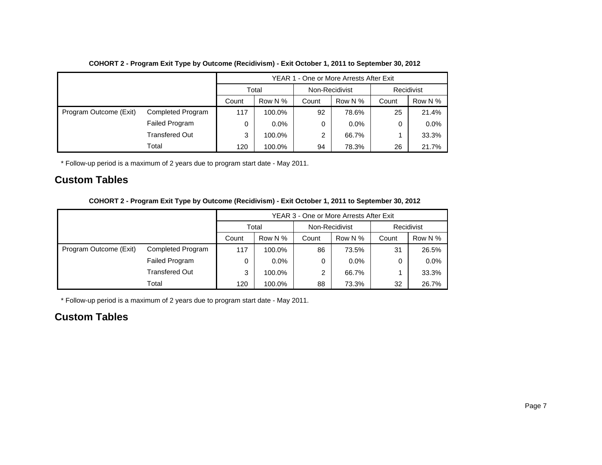|                        | YEAR 1 - One or More Arrests After Exit |       |         |                |         |            |         |
|------------------------|-----------------------------------------|-------|---------|----------------|---------|------------|---------|
|                        |                                         |       | Total   | Non-Recidivist |         | Recidivist |         |
|                        |                                         | Count | Row N % | Count          | Row N % | Count      | Row N % |
| Program Outcome (Exit) | Completed Program                       | 117   | 100.0%  | 92             | 78.6%   | 25         | 21.4%   |
|                        | Failed Program                          | 0     | $0.0\%$ | 0              | $0.0\%$ | 0          | 0.0%    |
|                        | <b>Transfered Out</b>                   | 3     | 100.0%  | 2              | 66.7%   |            | 33.3%   |
|                        | Total                                   | 120   | 100.0%  | 94             | 78.3%   | 26         | 21.7%   |

### **COHORT 2 - Program Exit Type by Outcome (Recidivism) - Exit October 1, 2011 to September 30, 2012**

\* Follow-up period is a maximum of 2 years due to program start date - May 2011.

### **Custom Tables**

|  |  |  |  |  | COHORT 2 - Program Exit Type by Outcome (Recidivism) - Exit October 1, 2011 to September 30, 2012 |
|--|--|--|--|--|---------------------------------------------------------------------------------------------------|
|--|--|--|--|--|---------------------------------------------------------------------------------------------------|

|                        |                       | YEAR 3 - One or More Arrests After Exit |         |                |         |            |         |
|------------------------|-----------------------|-----------------------------------------|---------|----------------|---------|------------|---------|
|                        |                       | Total                                   |         | Non-Recidivist |         | Recidivist |         |
|                        |                       | Count                                   | Row N % | Count          | Row N % | Count      | Row N % |
| Program Outcome (Exit) | Completed Program     | 117                                     | 100.0%  | 86             | 73.5%   | 31         | 26.5%   |
|                        | Failed Program        | 0                                       | $0.0\%$ | 0              | $0.0\%$ | 0          | $0.0\%$ |
|                        | <b>Transfered Out</b> | 3                                       | 100.0%  | 2              | 66.7%   |            | 33.3%   |
|                        | Total                 | 120                                     | 100.0%  | 88             | 73.3%   | 32         | 26.7%   |

\* Follow-up period is a maximum of 2 years due to program start date - May 2011.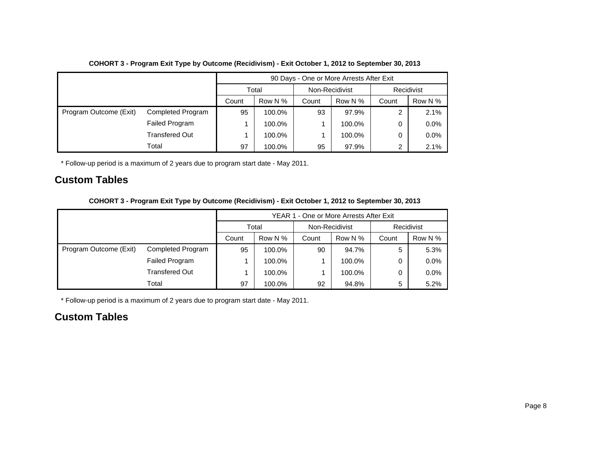|                        |                          | 90 Days - One or More Arrests After Exit |         |                |         |            |         |  |
|------------------------|--------------------------|------------------------------------------|---------|----------------|---------|------------|---------|--|
|                        |                          | Total                                    |         | Non-Recidivist |         | Recidivist |         |  |
|                        |                          | Count                                    | Row N % | Count          | Row N % | Count      | Row N % |  |
| Program Outcome (Exit) | <b>Completed Program</b> | 95                                       | 100.0%  | 93             | 97.9%   | 2          | 2.1%    |  |
|                        | Failed Program           |                                          | 100.0%  |                | 100.0%  | 0          | 0.0%    |  |
|                        | <b>Transfered Out</b>    |                                          | 100.0%  |                | 100.0%  | 0          | 0.0%    |  |
|                        | Total                    | 97                                       | 100.0%  | 95             | 97.9%   | 2          | 2.1%    |  |

### **COHORT 3 - Program Exit Type by Outcome (Recidivism) - Exit October 1, 2012 to September 30, 2013**

\* Follow-up period is a maximum of 2 years due to program start date - May 2011.

### **Custom Tables**

|  |  |  |  |  | COHORT 3 - Program Exit Type by Outcome (Recidivism) - Exit October 1, 2012 to September 30, 2013 |
|--|--|--|--|--|---------------------------------------------------------------------------------------------------|
|--|--|--|--|--|---------------------------------------------------------------------------------------------------|

|                        |                          |       | YEAR 1 - One or More Arrests After Exit |                |         |            |         |  |
|------------------------|--------------------------|-------|-----------------------------------------|----------------|---------|------------|---------|--|
|                        |                          | Total |                                         | Non-Recidivist |         | Recidivist |         |  |
|                        |                          | Count | Row N %                                 | Count          | Row N % | Count      | Row N % |  |
| Program Outcome (Exit) | <b>Completed Program</b> | 95    | 100.0%                                  | 90             | 94.7%   | 5          | 5.3%    |  |
|                        | Failed Program           |       | 100.0%                                  |                | 100.0%  | 0          | $0.0\%$ |  |
|                        | <b>Transfered Out</b>    |       | 100.0%                                  |                | 100.0%  | 0          | 0.0%    |  |
|                        | Total                    | 97    | 100.0%                                  | 92             | 94.8%   | 5          | 5.2%    |  |

\* Follow-up period is a maximum of 2 years due to program start date - May 2011.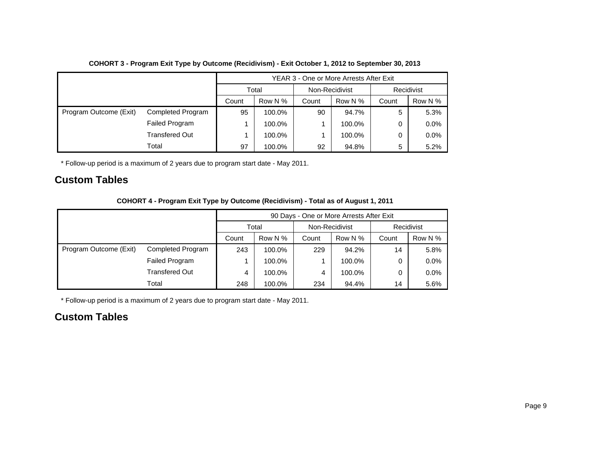|                        |                       | YEAR 3 - One or More Arrests After Exit |         |                |         |            |         |  |
|------------------------|-----------------------|-----------------------------------------|---------|----------------|---------|------------|---------|--|
|                        |                       | Total                                   |         | Non-Recidivist |         | Recidivist |         |  |
|                        |                       | Count                                   | Row N % | Count          | Row N % | Count      | Row N % |  |
| Program Outcome (Exit) | Completed Program     | 95                                      | 100.0%  | 90             | 94.7%   | 5          | 5.3%    |  |
|                        | Failed Program        |                                         | 100.0%  |                | 100.0%  | 0          | 0.0%    |  |
|                        | <b>Transfered Out</b> |                                         | 100.0%  |                | 100.0%  | 0          | 0.0%    |  |
|                        | Total                 | 97                                      | 100.0%  | 92             | 94.8%   | 5          | 5.2%    |  |

### **COHORT 3 - Program Exit Type by Outcome (Recidivism) - Exit October 1, 2012 to September 30, 2013**

\* Follow-up period is a maximum of 2 years due to program start date - May 2011.

### **Custom Tables**

| COHORT 4 - Program Exit Type by Outcome (Recidivism) - Total as of August 1, 2011 |  |  |  |
|-----------------------------------------------------------------------------------|--|--|--|
|-----------------------------------------------------------------------------------|--|--|--|

|                        |                       |       | 90 Days - One or More Arrests After Exit |                |         |            |         |  |
|------------------------|-----------------------|-------|------------------------------------------|----------------|---------|------------|---------|--|
|                        |                       | Total |                                          | Non-Recidivist |         | Recidivist |         |  |
|                        |                       | Count | Row N %                                  | Count          | Row N % | Count      | Row N % |  |
| Program Outcome (Exit) | Completed Program     | 243   | 100.0%                                   | 229            | 94.2%   | 14         | 5.8%    |  |
|                        | <b>Failed Program</b> |       | 100.0%                                   |                | 100.0%  | 0          | 0.0%    |  |
|                        | <b>Transfered Out</b> | 4     | 100.0%                                   | 4              | 100.0%  | 0          | 0.0%    |  |
|                        | Total                 | 248   | 100.0%                                   | 234            | 94.4%   | 14         | 5.6%    |  |

\* Follow-up period is a maximum of 2 years due to program start date - May 2011.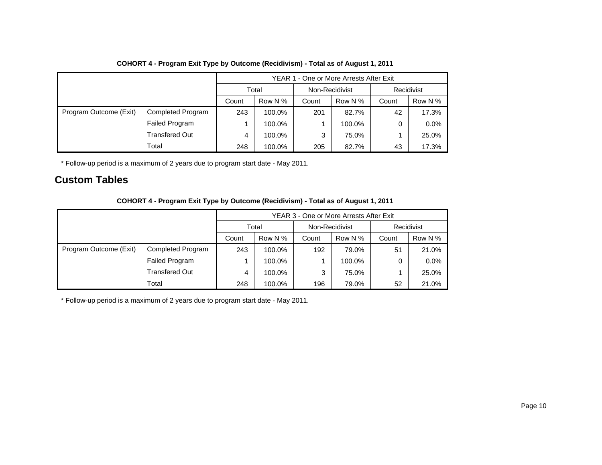|                        |                       |       |         |                | YEAR 1 - One or More Arrests After Exit |            |         |
|------------------------|-----------------------|-------|---------|----------------|-----------------------------------------|------------|---------|
|                        |                       | Total |         | Non-Recidivist |                                         | Recidivist |         |
|                        |                       | Count | Row N % | Count          | Row N %                                 | Count      | Row N % |
| Program Outcome (Exit) | Completed Program     | 243   | 100.0%  | 201            | 82.7%                                   | 42         | 17.3%   |
|                        | Failed Program        |       | 100.0%  |                | 100.0%                                  | 0          | 0.0%    |
|                        | <b>Transfered Out</b> | 4     | 100.0%  | 3              | 75.0%                                   |            | 25.0%   |
|                        | Total                 | 248   | 100.0%  | 205            | 82.7%                                   | 43         | 17.3%   |

### **COHORT 4 - Program Exit Type by Outcome (Recidivism) - Total as of August 1, 2011**

\* Follow-up period is a maximum of 2 years due to program start date - May 2011.

### **Custom Tables**

|                        |                          | YEAR 3 - One or More Arrests After Exit |         |                |         |            |         |
|------------------------|--------------------------|-----------------------------------------|---------|----------------|---------|------------|---------|
|                        |                          | Total                                   |         | Non-Recidivist |         | Recidivist |         |
|                        |                          | Count                                   | Row N % | Count          | Row N % | Count      | Row N % |
| Program Outcome (Exit) | <b>Completed Program</b> | 243                                     | 100.0%  | 192            | 79.0%   | 51         | 21.0%   |
|                        | Failed Program           |                                         | 100.0%  |                | 100.0%  | 0          | $0.0\%$ |
|                        | <b>Transfered Out</b>    | 4                                       | 100.0%  | 3              | 75.0%   |            | 25.0%   |
|                        | Total                    | 248                                     | 100.0%  | 196            | 79.0%   | 52         | 21.0%   |

**COHORT 4 - Program Exit Type by Outcome (Recidivism) - Total as of August 1, 2011**

\* Follow-up period is a maximum of 2 years due to program start date - May 2011.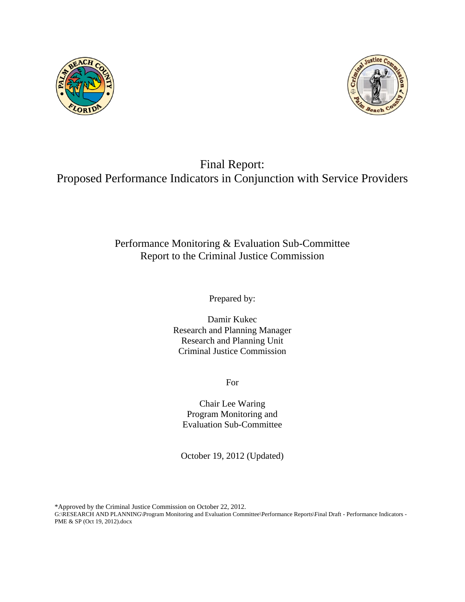



# Final Report: Proposed Performance Indicators in Conjunction with Service Providers

# Performance Monitoring & Evaluation Sub-Committee Report to the Criminal Justice Commission

Prepared by:

Damir Kukec Research and Planning Manager Research and Planning Unit Criminal Justice Commission

For

Chair Lee Waring Program Monitoring and Evaluation Sub-Committee

October 19, 2012 (Updated)

\*Approved by the Criminal Justice Commission on October 22, 2012.

G:\RESEARCH AND PLANNING\Program Monitoring and Evaluation Committee\Performance Reports\Final Draft - Performance Indicators - PME & SP (Oct 19, 2012).docx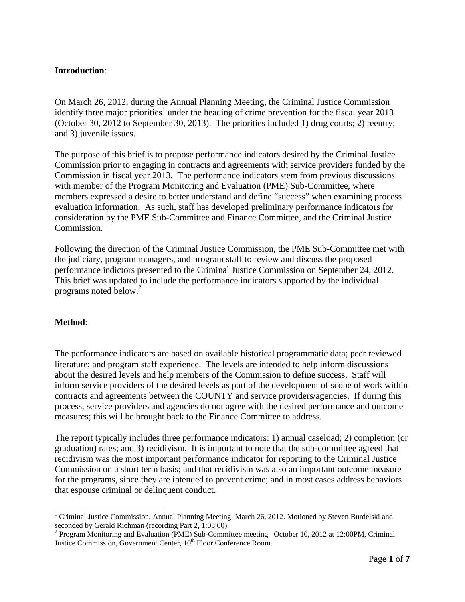### **Introduction**:

On March 26, 2012, during the Annual Planning Meeting, the Criminal Justice Commission identify three major priorities<sup>1</sup> under the heading of crime prevention for the fiscal year 2013 (October 30, 2012 to September 30, 2013). The priorities included 1) drug courts; 2) reentry; and 3) juvenile issues.

The purpose of this brief is to propose performance indicators desired by the Criminal Justice Commission prior to engaging in contracts and agreements with service providers funded by the Commission in fiscal year 2013. The performance indicators stem from previous discussions with member of the Program Monitoring and Evaluation (PME) Sub-Committee, where members expressed a desire to better understand and define "success" when examining process evaluation information. As such, staff has developed preliminary performance indicators for consideration by the PME Sub-Committee and Finance Committee, and the Criminal Justice Commission.

Following the direction of the Criminal Justice Commission, the PME Sub-Committee met with the judiciary, program managers, and program staff to review and discuss the proposed performance indictors presented to the Criminal Justice Commission on September 24, 2012. This brief was updated to include the performance indicators supported by the individual programs noted below.<sup>2</sup>

### **Method**:

<u>.</u>

The performance indicators are based on available historical programmatic data; peer reviewed literature; and program staff experience. The levels are intended to help inform discussions about the desired levels and help members of the Commission to define success. Staff will inform service providers of the desired levels as part of the development of scope of work within contracts and agreements between the COUNTY and service providers/agencies. If during this process, service providers and agencies do not agree with the desired performance and outcome measures; this will be brought back to the Finance Committee to address.

The report typically includes three performance indicators: 1) annual caseload; 2) completion (or graduation) rates; and 3) recidivism. It is important to note that the sub-committee agreed that recidivism was the most important performance indicator for reporting to the Criminal Justice Commission on a short term basis; and that recidivism was also an important outcome measure for the programs, since they are intended to prevent crime; and in most cases address behaviors that espouse criminal or delinquent conduct.

<sup>&</sup>lt;sup>1</sup> Criminal Justice Commission, Annual Planning Meeting. March 26, 2012. Motioned by Steven Burdelski and seconded by Gerald Richman (recording Part 2, 1:05:00).<br><sup>2</sup> Program Monitoring and Evaluation (PME) Sub-Committee meeting. October 10, 2012 at 12:00PM, Criminal

Justice Commission, Government Center, 10<sup>th</sup> Floor Conference Room.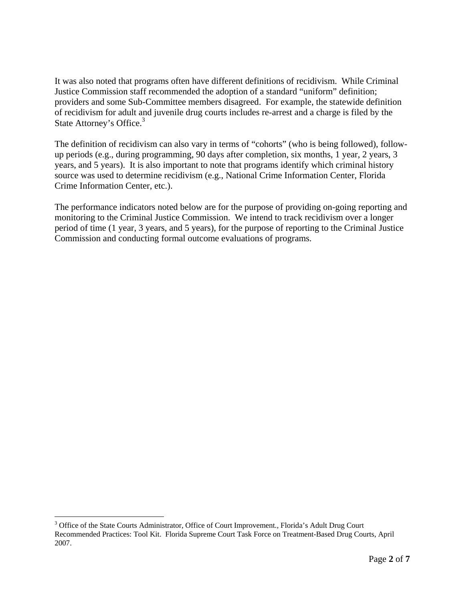It was also noted that programs often have different definitions of recidivism. While Criminal Justice Commission staff recommended the adoption of a standard "uniform" definition; providers and some Sub-Committee members disagreed. For example, the statewide definition of recidivism for adult and juvenile drug courts includes re-arrest and a charge is filed by the State Attorney's Office.<sup>3</sup>

The definition of recidivism can also vary in terms of "cohorts" (who is being followed), followup periods (e.g., during programming, 90 days after completion, six months, 1 year, 2 years, 3 years, and 5 years). It is also important to note that programs identify which criminal history source was used to determine recidivism (e.g., National Crime Information Center, Florida Crime Information Center, etc.).

The performance indicators noted below are for the purpose of providing on-going reporting and monitoring to the Criminal Justice Commission. We intend to track recidivism over a longer period of time (1 year, 3 years, and 5 years), for the purpose of reporting to the Criminal Justice Commission and conducting formal outcome evaluations of programs.

1

<sup>&</sup>lt;sup>3</sup> Office of the State Courts Administrator, Office of Court Improvement., Florida's Adult Drug Court Recommended Practices: Tool Kit. Florida Supreme Court Task Force on Treatment-Based Drug Courts, April 2007.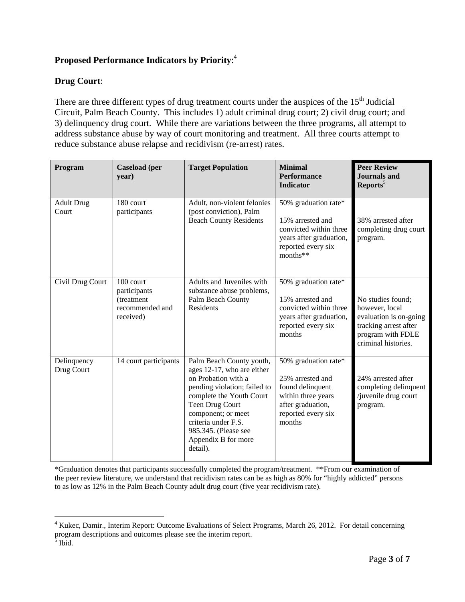### **Proposed Performance Indicators by Priority**: 4

### **Drug Court**:

There are three different types of drug treatment courts under the auspices of the 15<sup>th</sup> Judicial Circuit, Palm Beach County. This includes 1) adult criminal drug court; 2) civil drug court; and 3) delinquency drug court. While there are variations between the three programs, all attempt to address substance abuse by way of court monitoring and treatment. All three courts attempt to reduce substance abuse relapse and recidivism (re-arrest) rates.

| Program                    | <b>Caseload</b> (per<br>year)                                                                                                                                                                                                                                                                 | <b>Target Population</b>                                                                 | <b>Minimal</b><br><b>Performance</b><br><b>Indicator</b>                                                                                | <b>Peer Review</b><br><b>Journals and</b><br>Reports <sup>5</sup>                                                                  |
|----------------------------|-----------------------------------------------------------------------------------------------------------------------------------------------------------------------------------------------------------------------------------------------------------------------------------------------|------------------------------------------------------------------------------------------|-----------------------------------------------------------------------------------------------------------------------------------------|------------------------------------------------------------------------------------------------------------------------------------|
| <b>Adult Drug</b><br>Court | 180 court<br>participants                                                                                                                                                                                                                                                                     | Adult, non-violent felonies<br>(post conviction), Palm<br><b>Beach County Residents</b>  | 50% graduation rate*<br>15% arrested and<br>convicted within three<br>years after graduation,<br>reported every six<br>months**         | 38% arrested after<br>completing drug court<br>program.                                                                            |
| Civil Drug Court           | $100$ court<br>participants<br>(treatment<br>recommended and<br>received)                                                                                                                                                                                                                     | Adults and Juveniles with<br>substance abuse problems,<br>Palm Beach County<br>Residents | 50% graduation rate*<br>15% arrested and<br>convicted within three<br>years after graduation,<br>reported every six<br>months           | No studies found;<br>however, local<br>evaluation is on-going<br>tracking arrest after<br>program with FDLE<br>criminal histories. |
| Delinquency<br>Drug Court  | 14 court participants<br>Palm Beach County youth,<br>ages 12-17, who are either<br>on Probation with a<br>pending violation; failed to<br>complete the Youth Court<br>Teen Drug Court<br>component; or meet<br>criteria under F.S.<br>985.345. (Please see<br>Appendix B for more<br>detail). |                                                                                          | 50% graduation rate*<br>25% arrested and<br>found delinquent<br>within three years<br>after graduation,<br>reported every six<br>months | 24% arrested after<br>completing delinquent<br>juvenile drug court<br>program.                                                     |

\*Graduation denotes that participants successfully completed the program/treatment. \*\*From our examination of the peer review literature, we understand that recidivism rates can be as high as 80% for "highly addicted" persons to as low as 12% in the Palm Beach County adult drug court (five year recidivism rate).

 $\overline{a}$ 

<sup>&</sup>lt;sup>4</sup> Kukec, Damir., Interim Report: Outcome Evaluations of Select Programs, March 26, 2012. For detail concerning program descriptions and outcomes please see the interim report.<br><sup>5</sup> Ibid.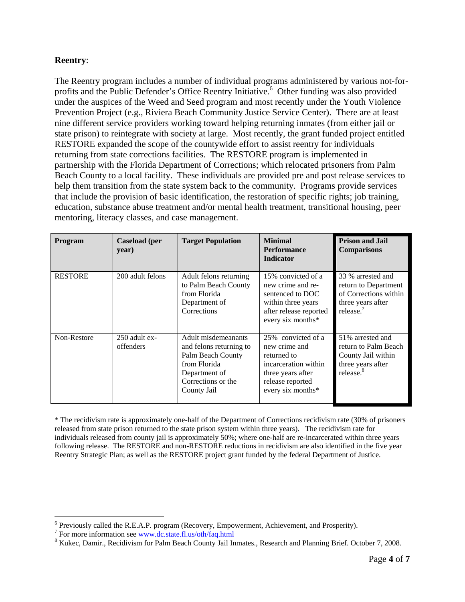### **Reentry**:

The Reentry program includes a number of individual programs administered by various not-forprofits and the Public Defender's Office Reentry Initiative.<sup>6</sup> Other funding was also provided under the auspices of the Weed and Seed program and most recently under the Youth Violence Prevention Project (e.g., Riviera Beach Community Justice Service Center). There are at least nine different service providers working toward helping returning inmates (from either jail or state prison) to reintegrate with society at large. Most recently, the grant funded project entitled RESTORE expanded the scope of the countywide effort to assist reentry for individuals returning from state corrections facilities. The RESTORE program is implemented in partnership with the Florida Department of Corrections; which relocated prisoners from Palm Beach County to a local facility. These individuals are provided pre and post release services to help them transition from the state system back to the community. Programs provide services that include the provision of basic identification, the restoration of specific rights; job training, education, substance abuse treatment and/or mental health treatment, transitional housing, peer mentoring, literacy classes, and case management.

| Program        | <b>Caseload</b> (per<br>year) | <b>Target Population</b>                                                                                                                  | <b>Minimal</b><br><b>Performance</b><br><b>Indicator</b>                                                                                 | <b>Prison and Jail</b><br><b>Comparisons</b>                                                                 |
|----------------|-------------------------------|-------------------------------------------------------------------------------------------------------------------------------------------|------------------------------------------------------------------------------------------------------------------------------------------|--------------------------------------------------------------------------------------------------------------|
| <b>RESTORE</b> | 200 adult felons              | Adult felons returning<br>to Palm Beach County<br>from Florida<br>Department of<br>Corrections                                            | 15% convicted of a<br>new crime and re-<br>sentenced to DOC<br>within three years<br>after release reported<br>every six months*         | 33 % arrested and<br>return to Department<br>of Corrections within<br>three years after<br>release.          |
| Non-Restore    | 250 adult ex-<br>offenders    | Adult misdemeanants<br>and felons returning to<br>Palm Beach County<br>from Florida<br>Department of<br>Corrections or the<br>County Jail | 25% convicted of a<br>new crime and<br>returned to<br>incarceration within<br>three years after<br>release reported<br>every six months* | 51% arrested and<br>return to Palm Beach<br>County Jail within<br>three years after<br>release. <sup>8</sup> |

\* The recidivism rate is approximately one-half of the Department of Corrections recidivism rate (30% of prisoners released from state prison returned to the state prison system within three years). The recidivism rate for individuals released from county jail is approximately 50%; where one-half are re-incarcerated within three years following release. The RESTORE and non-RESTORE reductions in recidivism are also identified in the five year Reentry Strategic Plan; as well as the RESTORE project grant funded by the federal Department of Justice.

 $\overline{a}$ 

<sup>&</sup>lt;sup>6</sup> Previously called the R.E.A.P. program (Recovery, Empowerment, Achievement, and Prosperity).

For more information see  $\frac{www.dc.state.fl.us/oth/faq.html}{% Yukco. Demir. Beoidivism for Balm: Boosh County Iail.$ 

<sup>&</sup>lt;sup>8</sup> Kukec, Damir., Recidivism for Palm Beach County Jail Inmates., Research and Planning Brief. October 7, 2008.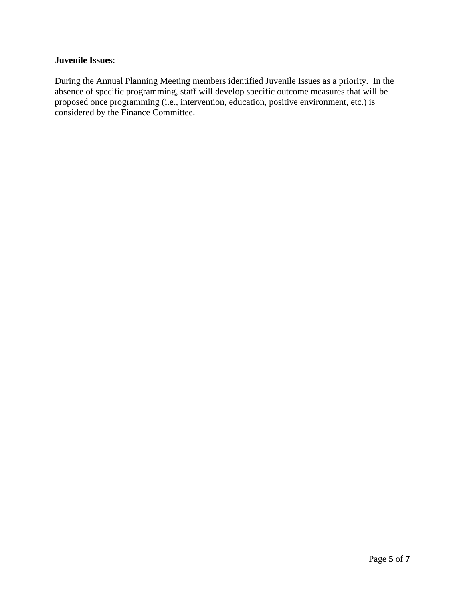### **Juvenile Issues**:

During the Annual Planning Meeting members identified Juvenile Issues as a priority. In the absence of specific programming, staff will develop specific outcome measures that will be proposed once programming (i.e., intervention, education, positive environment, etc.) is considered by the Finance Committee.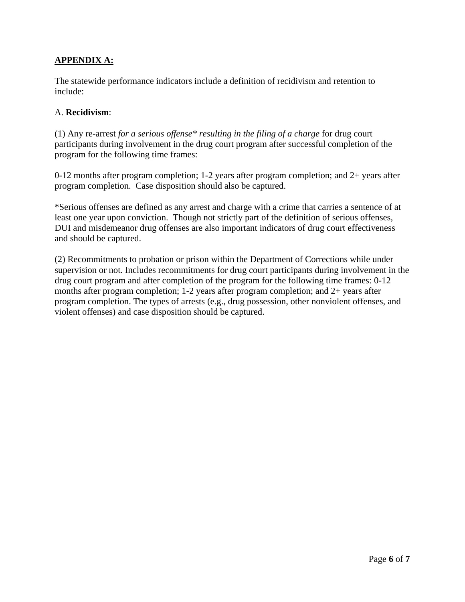### **APPENDIX A:**

The statewide performance indicators include a definition of recidivism and retention to include:

### A. **Recidivism**:

(1) Any re-arrest *for a serious offense\* resulting in the filing of a charge* for drug court participants during involvement in the drug court program after successful completion of the program for the following time frames:

0-12 months after program completion; 1-2 years after program completion; and 2+ years after program completion. Case disposition should also be captured.

\*Serious offenses are defined as any arrest and charge with a crime that carries a sentence of at least one year upon conviction. Though not strictly part of the definition of serious offenses, DUI and misdemeanor drug offenses are also important indicators of drug court effectiveness and should be captured.

(2) Recommitments to probation or prison within the Department of Corrections while under supervision or not. Includes recommitments for drug court participants during involvement in the drug court program and after completion of the program for the following time frames: 0-12 months after program completion; 1-2 years after program completion; and 2+ years after program completion. The types of arrests (e.g., drug possession, other nonviolent offenses, and violent offenses) and case disposition should be captured.